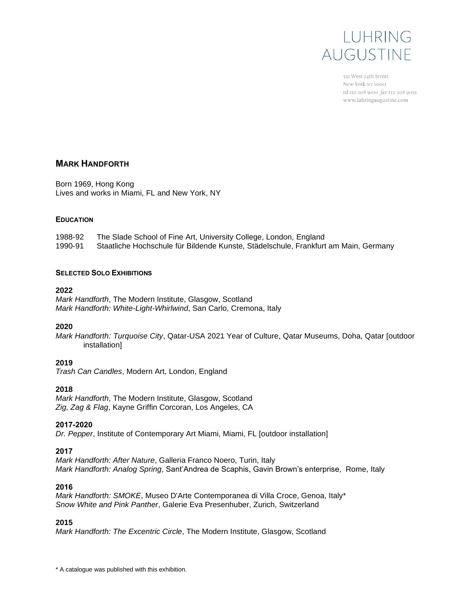

531 West 24th Street New York NY 10011 tel 212 206 9100 fax 212 206 9055 www.luhringaugustine.com

## **MARK HANDFORTH**

Born 1969, Hong Kong Lives and works in Miami, FL and New York, NY

### **EDUCATION**

1988-92 The Slade School of Fine Art, University College, London, England 1990-91 Staatliche Hochschule für Bildende Kunste, Städelschule, Frankfurt am Main, Germany

### **SELECTED SOLO EXHIBITIONS**

#### **2022**

*Mark Handforth*, The Modern Institute, Glasgow, Scotland *Mark Handforth: White-Light-Whirlwind*, San Carlo, Cremona, Italy

#### **2020**

*Mark Handforth: Turquoise City*, Qatar-USA 2021 Year of Culture, Qatar Museums, Doha, Qatar [outdoor installation]

### **2019**

*Trash Can Candles*, Modern Art, London, England

### **2018**

*Mark Handforth*, The Modern Institute, Glasgow, Scotland *Zig, Zag & Flag*, Kayne Griffin Corcoran, Los Angeles, CA

### **2017-2020**

*Dr. Pepper*, Institute of Contemporary Art Miami, Miami, FL [outdoor installation]

### **2017**

*Mark Handforth: After Nature*, Galleria Franco Noero, Turin, Italy *Mark Handforth: Analog Spring*, Sant'Andrea de Scaphis, Gavin Brown's enterprise, Rome, Italy

#### **2016**

*Mark Handforth: SMOKE*, Museo D'Arte Contemporanea di Villa Croce, Genoa, Italy\* *Snow White and Pink Panther*, Galerie Eva Presenhuber, Zurich, Switzerland

### **2015**

*Mark Handforth: The Excentric Circle*, The Modern Institute, Glasgow, Scotland

\* A catalogue was published with this exhibition.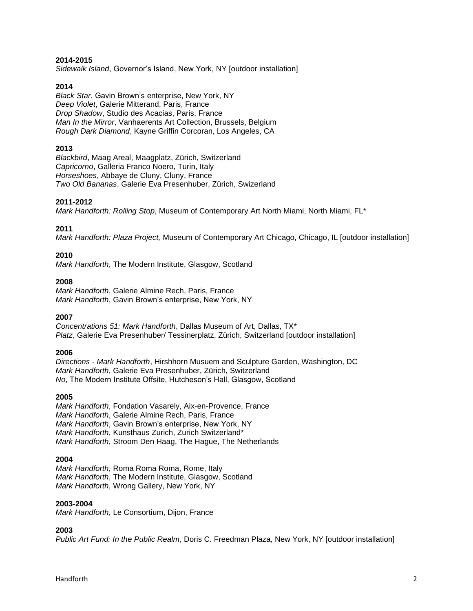#### **2014-2015**

*Sidewalk Island*, Governor's Island, New York, NY [outdoor installation]

#### **2014**

*Black Star*, Gavin Brown's enterprise, New York, NY *Deep Violet*, Galerie Mitterand, Paris, France *Drop Shadow*, Studio des Acacias, Paris, France *Man In the Mirror*, Vanhaerents Art Collection, Brussels, Belgium *Rough Dark Diamond*, Kayne Griffin Corcoran, Los Angeles, CA

#### **2013**

*Blackbird*, Maag Areal, Maagplatz, Zürich, Switzerland *Capricorno*, Galleria Franco Noero, Turin, Italy *Horseshoes*, Abbaye de Cluny, Cluny, France *Two Old Bananas*, Galerie Eva Presenhuber, Zürich, Swizerland

#### **2011-2012**

*Mark Handforth: Rolling Stop*, Museum of Contemporary Art North Miami, North Miami, FL\*

#### **2011**

*Mark Handforth: Plaza Project,* Museum of Contemporary Art Chicago, Chicago, IL [outdoor installation]

#### **2010**

*Mark Handforth*, The Modern Institute, Glasgow, Scotland

#### **2008**

*Mark Handforth*, Galerie Almine Rech, Paris, France *Mark Handforth*, Gavin Brown's enterprise, New York, NY

#### **2007**

*Concentrations 51: Mark Handforth*, Dallas Museum of Art, Dallas, TX\* *Platz*, Galerie Eva Presenhuber/ Tessinerplatz, Zürich, Switzerland [outdoor installation]

#### **2006**

*Directions - Mark Handforth*, Hirshhorn Musuem and Sculpture Garden, Washington, DC *Mark Handforth*, Galerie Eva Presenhuber, Zürich, Switzerland *No*, The Modern Institute Offsite, Hutcheson's Hall, Glasgow, Scotland

#### **2005**

*Mark Handforth*, Fondation Vasarely, Aix-en-Provence, France *Mark Handforth*, Galerie Almine Rech, Paris, France *Mark Handforth*, Gavin Brown's enterprise, New York, NY *Mark Handforth*, Kunsthaus Zurich, Zurich Switzerland\* *Mark Handforth*, Stroom Den Haag, The Hague, The Netherlands

### **2004**

*Mark Handforth*, Roma Roma Roma, Rome, Italy *Mark Handforth*, The Modern Institute, Glasgow, Scotland *Mark Handforth*, Wrong Gallery, New York, NY

#### **2003-2004**

*Mark Handforth*, Le Consortium, Dijon, France

# **2003**

*Public Art Fund: In the Public Realm*, Doris C. Freedman Plaza, New York, NY [outdoor installation]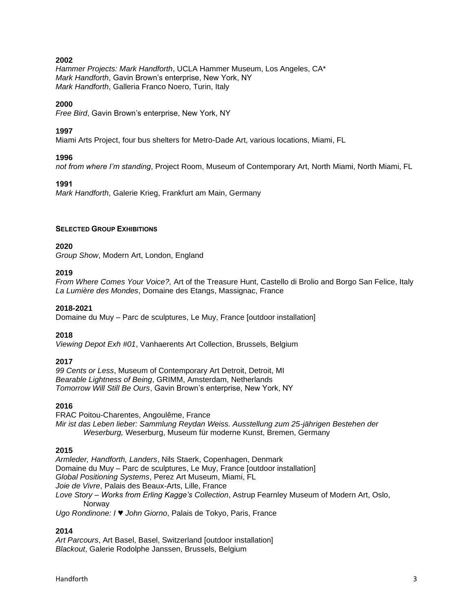*Hammer Projects: Mark Handforth*, UCLA Hammer Museum, Los Angeles, CA\* *Mark Handforth*, Gavin Brown's enterprise, New York, NY *Mark Handforth*, Galleria Franco Noero, Turin, Italy

### **2000**

*Free Bird*, Gavin Brown's enterprise, New York, NY

### **1997**

Miami Arts Project, four bus shelters for Metro-Dade Art, various locations, Miami, FL

### **1996**

*not from where I'm standing*, Project Room, Museum of Contemporary Art, North Miami, North Miami, FL

### **1991**

*Mark Handforth*, Galerie Krieg, Frankfurt am Main, Germany

### **SELECTED GROUP EXHIBITIONS**

### **2020**

*Group Show*, Modern Art, London, England

### **2019**

*From Where Comes Your Voice?,* Art of the Treasure Hunt, Castello di Brolio and Borgo San Felice, Italy *La Lumière des Mondes*, Domaine des Etangs, Massignac, France

### **2018-2021**

Domaine du Muy – Parc de sculptures, Le Muy, France [outdoor installation]

### **2018**

*Viewing Depot Exh #01*, Vanhaerents Art Collection, Brussels, Belgium

## **2017**

*99 Cents or Less*, Museum of Contemporary Art Detroit, Detroit, MI *Bearable Lightness of Being*, GRIMM, Amsterdam, Netherlands *Tomorrow Will Still Be Ours*, Gavin Brown's enterprise, New York, NY

### **2016**

FRAC Poitou-Charentes, Angoulême, France *Mir ist das Leben lieber: Sammlung Reydan Weiss. Ausstellung zum 25-jährigen Bestehen der Weserburg,* Weserburg, Museum für moderne Kunst, Bremen, Germany

## **2015**

*Armleder, Handforth, Landers*, Nils Staerk, Copenhagen, Denmark Domaine du Muy – Parc de sculptures, Le Muy, France [outdoor installation] *Global Positioning Systems*, Perez Art Museum, Miami, FL *Joie de Vivre*, Palais des Beaux-Arts, Lille, France *Love Story – Works from Erling Kagge's Collection*, Astrup Fearnley Museum of Modern Art, Oslo, **Norway** *Ugo Rondinone: I ♥ John Giorno*, Palais de Tokyo, Paris, France

### **2014**

*Art Parcours*, Art Basel, Basel, Switzerland [outdoor installation] *Blackout*, Galerie Rodolphe Janssen, Brussels, Belgium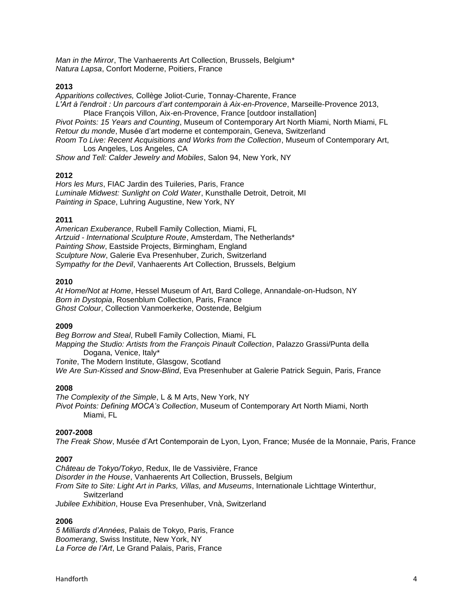*Man in the Mirror*, The Vanhaerents Art Collection, Brussels, Belgium\* *Natura Lapsa*, Confort Moderne, Poitiers, France

### **2013**

*Apparitions collectives,* Collège Joliot-Curie, Tonnay-Charente, France *L'Art à l'endroit : Un parcours d'art contemporain à Aix-en-Provence*, Marseille-Provence 2013, Place François Villon, Aix-en-Provence, France [outdoor installation] *Pivot Points: 15 Years and Counting*, Museum of Contemporary Art North Miami, North Miami, FL *Retour du monde*, Musée d'art moderne et contemporain, Geneva, Switzerland *Room To Live: Recent Acquisitions and Works from the Collection*, Museum of Contemporary Art, Los Angeles, Los Angeles, CA

*Show and Tell: Calder Jewelry and Mobiles*, Salon 94, New York, NY

### **2012**

*Hors les Murs*, FIAC Jardin des Tuileries, Paris, France *Luminale Midwest: Sunlight on Cold Water*, Kunsthalle Detroit, Detroit, MI *Painting in Space*, Luhring Augustine, New York, NY

### **2011**

*American Exuberance*, Rubell Family Collection, Miami, FL *Artzuid - International Sculpture Route*, Amsterdam, The Netherlands\* *Painting Show*, Eastside Projects, Birmingham, England *Sculpture Now*, Galerie Eva Presenhuber, Zurich, Switzerland *Sympathy for the Devil*, Vanhaerents Art Collection, Brussels, Belgium

### **2010**

*At Home/Not at Home*, Hessel Museum of Art, Bard College, Annandale-on-Hudson, NY *Born in Dystopia*, Rosenblum Collection, Paris, France *Ghost Colour*, Collection Vanmoerkerke, Oostende, Belgium

### **2009**

*Beg Borrow and Steal*, Rubell Family Collection, Miami, FL *Mapping the Studio: Artists from the François Pinault Collection*, Palazzo Grassi/Punta della Dogana, Venice, Italy\* *Tonite*, The Modern Institute, Glasgow, Scotland

*We Are Sun-Kissed and Snow-Blind*, Eva Presenhuber at Galerie Patrick Seguin, Paris, France

### **2008**

*The Complexity of the Simple*, L & M Arts, New York, NY *Pivot Points: Defining MOCA's Collection*, Museum of Contemporary Art North Miami, North Miami, FL

### **2007-2008**

*The Freak Show*, Musée d'Art Contemporain de Lyon, Lyon, France; Musée de la Monnaie, Paris, France

## **2007**

*Château de Tokyo/Tokyo*, Redux, Ile de Vassivière, France *Disorder in the House*, Vanhaerents Art Collection, Brussels, Belgium *From Site to Site: Light Art in Parks, Villas, and Museums*, Internationale Lichttage Winterthur, **Switzerland** *Jubilee Exhibition*, House Eva Presenhuber, Vnà, Switzerland

### **2006**

*5 Milliards d'Années*, Palais de Tokyo, Paris, France *Boomerang*, Swiss Institute, New York, NY *La Force de l'Art*, Le Grand Palais, Paris, France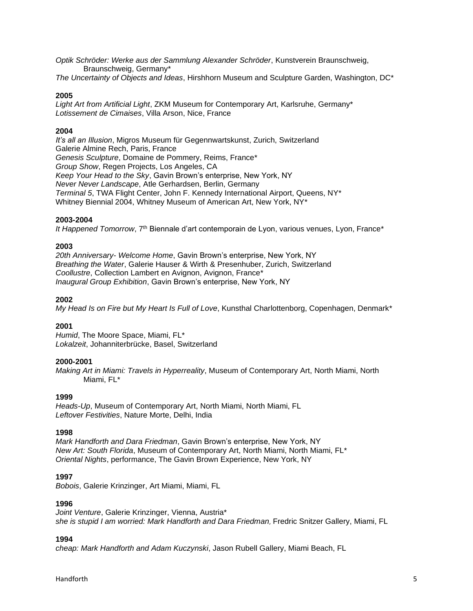*Optik Schröder: Werke aus der Sammlung Alexander Schröder*, Kunstverein Braunschweig, Braunschweig, Germany\*

*The Uncertainty of Objects and Ideas*, Hirshhorn Museum and Sculpture Garden, Washington, DC\*

## **2005**

*Light Art from Artificial Light*, ZKM Museum for Contemporary Art, Karlsruhe, Germany\* *Lotissement de Cimaises*, Villa Arson, Nice, France

# **2004**

*It's all an Illusion*, Migros Museum für Gegennwartskunst, Zurich, Switzerland Galerie Almine Rech, Paris, France *Genesis Sculpture*, Domaine de Pommery, Reims, France\* *Group Show*, Regen Projects, Los Angeles, CA *Keep Your Head to the Sky*, Gavin Brown's enterprise, New York, NY *Never Never Landscape*, Atle Gerhardsen, Berlin, Germany *Terminal 5*, TWA Flight Center, John F. Kennedy International Airport, Queens, NY\* Whitney Biennial 2004, Whitney Museum of American Art, New York, NY\*

## **2003-2004**

It Happened Tomorrow, 7<sup>th</sup> Biennale d'art contemporain de Lyon, various venues, Lyon, France\*

# **2003**

*20th Anniversary- Welcome Home*, Gavin Brown's enterprise, New York, NY *Breathing the Water*, Galerie Hauser & Wirth & Presenhuber, Zurich, Switzerland *Coollustre*, Collection Lambert en Avignon, Avignon, France\* *Inaugural Group Exhibition*, Gavin Brown's enterprise, New York, NY

# **2002**

*My Head Is on Fire but My Heart Is Full of Love*, Kunsthal Charlottenborg, Copenhagen, Denmark\*

# **2001**

*Humid*, The Moore Space, Miami, FL\* *Lokalzeit*, Johanniterbrücke, Basel, Switzerland

## **2000-2001**

*Making Art in Miami: Travels in Hyperreality*, Museum of Contemporary Art, North Miami, North Miami, FL\*

## **1999**

*Heads-Up*, Museum of Contemporary Art, North Miami, North Miami, FL *Leftover Festivities*, Nature Morte, Delhi, India

## **1998**

*Mark Handforth and Dara Friedman*, Gavin Brown's enterprise, New York, NY *New Art: South Florida*, Museum of Contemporary Art, North Miami, North Miami, FL\* *Oriental Nights*, performance, The Gavin Brown Experience, New York, NY

## **1997**

*Bobois*, Galerie Krinzinger, Art Miami, Miami, FL

## **1996**

*Joint Venture*, Galerie Krinzinger, Vienna, Austria\* *she is stupid I am worried: Mark Handforth and Dara Friedman*, Fredric Snitzer Gallery, Miami, FL

## **1994**

*cheap: Mark Handforth and Adam Kuczynski*, Jason Rubell Gallery, Miami Beach, FL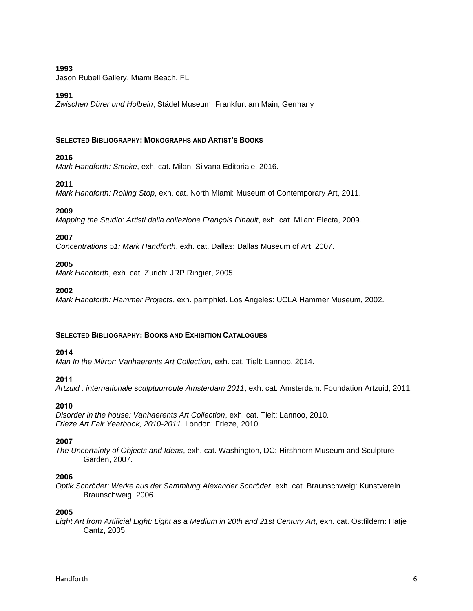Jason Rubell Gallery, Miami Beach, FL

### **1991**

*Zwischen Dürer und Holbein*, Städel Museum, Frankfurt am Main, Germany

### **SELECTED BIBLIOGRAPHY: MONOGRAPHS AND ARTIST'S BOOKS**

# **2016**

*Mark Handforth: Smoke*, exh. cat. Milan: Silvana Editoriale, 2016.

# **2011**

*Mark Handforth: Rolling Stop*, exh. cat. North Miami: Museum of Contemporary Art, 2011.

## **2009**

*Mapping the Studio: Artisti dalla collezione François Pinault*, exh. cat. Milan: Electa, 2009.

# **2007**

*Concentrations 51: Mark Handforth*, exh. cat. Dallas: Dallas Museum of Art, 2007.

## **2005**

*Mark Handforth*, exh. cat. Zurich: JRP Ringier, 2005.

### **2002**

*Mark Handforth: Hammer Projects*, exh. pamphlet. Los Angeles: UCLA Hammer Museum, 2002.

## **SELECTED BIBLIOGRAPHY: BOOKS AND EXHIBITION CATALOGUES**

## **2014**

*Man In the Mirror: Vanhaerents Art Collection*, exh. cat. Tielt: Lannoo, 2014.

## **2011**

*Artzuid : internationale sculptuurroute Amsterdam 2011*, exh. cat. Amsterdam: Foundation Artzuid, 2011.

## **2010**

*Disorder in the house: Vanhaerents Art Collection*, exh. cat. Tielt: Lannoo, 2010. *Frieze Art Fair Yearbook, 2010-2011*. London: Frieze, 2010.

## **2007**

*The Uncertainty of Objects and Ideas*, exh. cat. Washington, DC: Hirshhorn Museum and Sculpture Garden, 2007.

## **2006**

*Optik Schröder: Werke aus der Sammlung Alexander Schröder*, exh. cat. Braunschweig: Kunstverein Braunschweig, 2006.

## **2005**

*Light Art from Artificial Light: Light as a Medium in 20th and 21st Century Art*, exh. cat. Ostfildern: Hatje Cantz, 2005.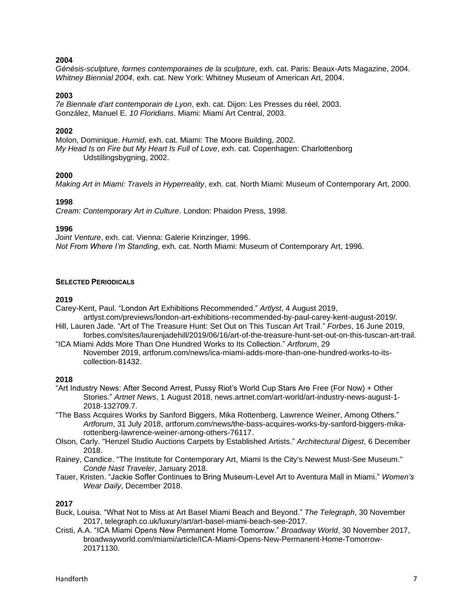*Génésis-sculpture, formes contemporaines de la sculpture,* exh. cat. Paris: Beaux-Arts Magazine, 2004. *Whitney Biennial 2004*, exh. cat. New York: Whitney Museum of American Art, 2004.

#### **2003**

*7e Biennale d'art contemporain de Lyon*, exh. cat. Dijon: Les Presses du réel, 2003. González, Manuel E. *10 Floridians*. Miami: Miami Art Central, 2003.

#### **2002**

Molon, Dominique. *Humid*, exh. cat. Miami: The Moore Building, 2002*. My Head Is on Fire but My Heart Is Full of Love*, exh. cat. Copenhagen: Charlottenborg Udstillingsbygning, 2002.

#### **2000**

*Making Art in Miami: Travels in Hyperreality*, exh. cat. North Miami: Museum of Contemporary Art, 2000.

#### **1998**

*Cream: Contemporary Art in Culture*. London: Phaidon Press, 1998.

#### **1996**

*Joint Venture*, exh. cat. Vienna: Galerie Krinzinger, 1996. *Not From Where I'm Standing*, exh. cat. North Miami: Museum of Contemporary Art, 1996.

#### **SELECTED PERIODICALS**

#### **2019**

Carey-Kent, Paul. "London Art Exhibitions Recommended." *Artlyst*, 4 August 2019,

artlyst.com/previews/london-art-exhibitions-recommended-by-paul-carey-kent-august-2019/. Hill, Lauren Jade. "Art of The Treasure Hunt: Set Out on This Tuscan Art Trail." *Forbes*, 16 June 2019,

- forbes.com/sites/laurenjadehill/2019/06/16/art-of-the-treasure-hunt-set-out-on-this-tuscan-art-trail. "ICA Miami Adds More Than One Hundred Works to Its Collection." *Artforum*, 29
	- November 2019, artforum.com/news/ica-miami-adds-more-than-one-hundred-works-to-itscollection-81432.

#### **2018**

"Art Industry News: After Second Arrest, Pussy Riot's World Cup Stars Are Free (For Now) + Other Stories." *Artnet News*, 1 August 2018, news.artnet.com/art-world/art-industry-news-august-1- 2018-132709.7.

- "The Bass Acquires Works by Sanford Biggers, Mika Rottenberg, Lawrence Weiner, Among Others." *Artforum*, 31 July 2018, artforum.com/news/the-bass-acquires-works-by-sanford-biggers-mikarottenberg-lawrence-weiner-among-others-76117.
- Olson, Carly. "Henzel Studio Auctions Carpets by Established Artists." *Architectural Digest*, 6 December 2018.
- Rainey, Candice. "The Institute for Contemporary Art, Miami Is the City's Newest Must-See Museum." *Conde Nast Traveler*, January 2018.
- Tauer, Kristen. "Jackie Soffer Continues to Bring Museum-Level Art to Aventura Mall in Miami." *Women's Wear Daily*, December 2018.

### **2017**

- Buck, Louisa. "What Not to Miss at Art Basel Miami Beach and Beyond." *The Telegraph*, 30 November 2017, telegraph.co.uk/luxury/art/art-basel-miami-beach-see-2017.
- Cristi, A.A. "ICA Miami Opens New Permanent Home Tomorrow." *Broadway World*, 30 November 2017, broadwayworld.com/miami/article/ICA-Miami-Opens-New-Permanent-Home-Tomorrow-20171130.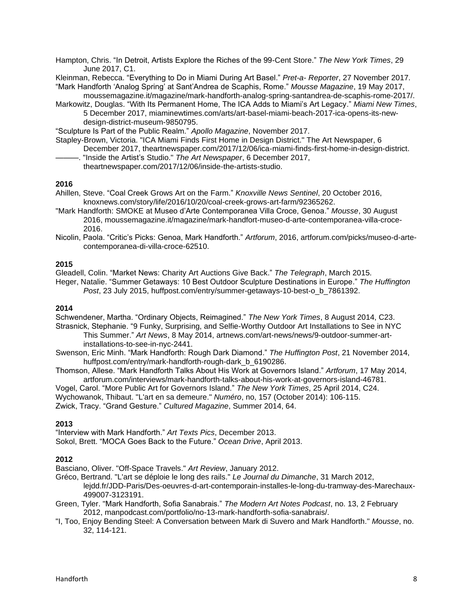Hampton, Chris. "In Detroit, Artists Explore the Riches of the 99-Cent Store." *The New York Times*, 29 June 2017, C1.

Kleinman, Rebecca. "Everything to Do in Miami During Art Basel." *Pret-a- Reporter*, 27 November 2017. "Mark Handforth 'Analog Spring' at Sant'Andrea de Scaphis, Rome." *Mousse Magazine*, 19 May 2017,

moussemagazine.it/magazine/mark-handforth-analog-spring-santandrea-de-scaphis-rome-2017/. Markowitz, Douglas. "With Its Permanent Home, The ICA Adds to Miami's Art Legacy." *Miami New Times*,

5 December 2017, miaminewtimes.com/arts/art-basel-miami-beach-2017-ica-opens-its-newdesign-district-museum-9850795.

"Sculpture Is Part of the Public Realm." *Apollo Magazine*, November 2017.

Stapley-Brown, Victoria. "ICA Miami Finds First Home in Design District." The Art Newspaper, 6 December 2017, theartnewspaper.com/2017/12/06/ica-miami-finds-first-home-in-design-district.

———. "Inside the Artist's Studio." *The Art Newspaper*, 6 December 2017, theartnewspaper.com/2017/12/06/inside-the-artists-studio.

### **2016**

- Ahillen, Steve. "Coal Creek Grows Art on the Farm." *Knoxville News Sentinel*, 20 October 2016, knoxnews.com/story/life/2016/10/20/coal-creek-grows-art-farm/92365262.
- "Mark Handforth: SMOKE at Museo d'Arte Contemporanea Villa Croce, Genoa." *Mousse*, 30 August 2016, moussemagazine.it/magazine/mark-handfort-museo-d-arte-contemporanea-villa-croce-2016.
- Nicolin, Paola. "Critic's Picks: Genoa, Mark Handforth." *Artforum*, 2016, artforum.com/picks/museo-d-artecontemporanea-di-villa-croce-62510.

### **2015**

Gleadell, Colin. "Market News: Charity Art Auctions Give Back." *The Telegraph*, March 2015.

Heger, Natalie. "Summer Getaways: 10 Best Outdoor Sculpture Destinations in Europe." *The Huffington Post*, 23 July 2015, huffpost.com/entry/summer-getaways-10-best-o\_b\_7861392.

### **2014**

Schwendener, Martha. "Ordinary Objects, Reimagined." *The New York Times*, 8 August 2014, C23.

- Strasnick, Stephanie. "9 Funky, Surprising, and Selfie-Worthy Outdoor Art Installations to See in NYC This Summer." *Art News*, 8 May 2014, artnews.com/art-news/news/9-outdoor-summer-artinstallations-to-see-in-nyc-2441.
- Swenson, Eric Minh. "Mark Handforth: Rough Dark Diamond." *The Huffington Post*, 21 November 2014, huffpost.com/entry/mark-handforth-rough-dark\_b\_6190286.
- Thomson, Allese. "Mark Handforth Talks About His Work at Governors Island." *Artforum*, 17 May 2014, artforum.com/interviews/mark-handforth-talks-about-his-work-at-governors-island-46781.

Vogel, Carol. "More Public Art for Governors Island." *The New York Times*, 25 April 2014, C24. Wychowanok, Thibaut. "L'art en sa demeure." *Numéro*, no, 157 (October 2014): 106-115. Zwick, Tracy. "Grand Gesture." *Cultured Magazine*, Summer 2014, 64.

## **2013**

"Interview with Mark Handforth." *Art Texts Pics*, December 2013. Sokol, Brett. "MOCA Goes Back to the Future." *Ocean Drive*, April 2013.

## **2012**

Basciano, Oliver. "Off-Space Travels." *Art Review*, January 2012.

- Gréco, Bertrand. "L'art se déploie le long des rails." *Le Journal du Dimanche*, 31 March 2012, lejdd.fr/JDD-Paris/Des-oeuvres-d-art-contemporain-installes-le-long-du-tramway-des-Marechaux-499007-3123191.
- Green, Tyler. "Mark Handforth, Sofia Sanabrais." *The Modern Art Notes Podcast*, no. 13, 2 February 2012, manpodcast.com/portfolio/no-13-mark-handforth-sofia-sanabrais/.
- "I, Too, Enjoy Bending Steel: A Conversation between Mark di Suvero and Mark Handforth." *Mousse*, no. 32, 114-121.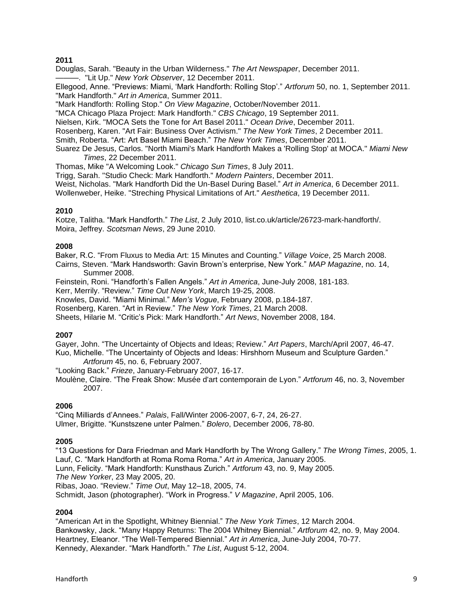Douglas, Sarah. "Beauty in the Urban Wilderness." *The Art Newspaper*, December 2011. ———. "Lit Up." *New York Observer*, 12 December 2011.

Ellegood, Anne. "Previews: Miami, 'Mark Handforth: Rolling Stop'." *Artforum* 50, no. 1, September 2011. "Mark Handforth." *Art in America*, Summer 2011.

"Mark Handforth: Rolling Stop." *On View Magazine*, October/November 2011.

"MCA Chicago Plaza Project: Mark Handforth." *CBS Chicago*, 19 September 2011.

Nielsen, Kirk. "MOCA Sets the Tone for Art Basel 2011." *Ocean Drive*, December 2011.

Rosenberg, Karen. "Art Fair: Business Over Activism." *The New York Times*, 2 December 2011.

Smith, Roberta. "Art: Art Basel Miami Beach." *The New York Times*, December 2011.

Suarez De Jesus, Carlos. "North Miami's Mark Handforth Makes a 'Rolling Stop' at MOCA." *Miami New Times*, 22 December 2011.

Thomas, Mike "A Welcoming Look." *Chicago Sun Times*, 8 July 2011.

Trigg, Sarah. "Studio Check: Mark Handforth." *Modern Painters*, December 2011.

Weist, Nicholas. "Mark Handforth Did the Un-Basel During Basel." *Art in America*, 6 December 2011.

Wollenweber, Heike. "Streching Physical Limitations of Art." *Aesthetica*, 19 December 2011.

### **2010**

Kotze, Talitha. "Mark Handforth." *The List*, 2 July 2010, list.co.uk/article/26723-mark-handforth/. Moira, Jeffrey. *Scotsman News*, 29 June 2010.

### **2008**

Baker, R.C. "From Fluxus to Media Art: 15 Minutes and Counting." *Village Voice*, 25 March 2008. Cairns, Steven. "Mark Handsworth: Gavin Brown's enterprise, New York." *MAP Magazine*, no. 14,

Summer 2008.

Feinstein, Roni. "Handforth's Fallen Angels." *Art in America*, June-July 2008, 181-183.

Kerr, Merrily. "Review." *Time Out New York*, March 19-25, 2008.

Knowles, David. "Miami Minimal." *Men's Vogue*, February 2008, p.184-187.

Rosenberg, Karen. "Art in Review." *The New York Times*, 21 March 2008.

Sheets, Hilarie M. "Critic's Pick: Mark Handforth." *Art News*, November 2008, 184.

### **2007**

Gayer, John. "The Uncertainty of Objects and Ideas; Review." *Art Papers*, March/April 2007, 46-47. Kuo, Michelle. "The Uncertainty of Objects and Ideas: Hirshhorn Museum and Sculpture Garden." *Artforum* 45, no. 6, February 2007.

"Looking Back." *Frieze*, January-February 2007, 16-17.

Moulène, Claire. "The Freak Show: Musée d'art contemporain de Lyon." *Artforum* 46, no. 3, November 2007.

### **2006**

"Cinq Milliards d'Annees." *Palais*, Fall/Winter 2006-2007, 6-7, 24, 26-27. Ulmer, Brigitte. "Kunstszene unter Palmen." *Bolero*, December 2006, 78-80.

### **2005**

"13 Questions for Dara Friedman and Mark Handforth by The Wrong Gallery." *The Wrong Times*, 2005, 1. Lauf, C. "Mark Handforth at Roma Roma Roma." *Art in America*, January 2005.

Lunn, Felicity. "Mark Handforth: Kunsthaus Zurich." *Artforum* 43, no. 9, May 2005.

*The New Yorker*, 23 May 2005, 20.

Ribas, Joao. "Review." *Time Out*, May 12–18, 2005, 74.

Schmidt, Jason (photographer). "Work in Progress." *V Magazine*, April 2005, 106.

### **2004**

"American Art in the Spotlight, Whitney Biennial." *The New York Times*, 12 March 2004. Bankowsky, Jack. "Many Happy Returns: The 2004 Whitney Biennial." *Artforum* 42, no. 9, May 2004. Heartney, Eleanor. "The Well-Tempered Biennial." *Art in America*, June-July 2004, 70-77. Kennedy, Alexander. "Mark Handforth." *The List*, August 5-12, 2004.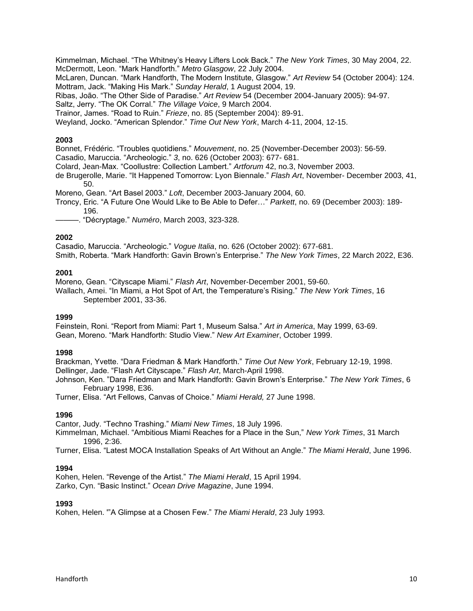Kimmelman, Michael. "The Whitney's Heavy Lifters Look Back." *The New York Times*, 30 May 2004, 22. McDermott, Leon. "Mark Handforth." *Metro Glasgow*, 22 July 2004.

McLaren, Duncan. "Mark Handforth, The Modern Institute, Glasgow." *Art Review* 54 (October 2004): 124. Mottram, Jack. "Making His Mark." *Sunday Herald*, 1 August 2004, 19.

Ribas, João. "The Other Side of Paradise." *Art Review* 54 (December 2004-January 2005): 94-97.

Saltz, Jerry. "The OK Corral." *The Village Voice*, 9 March 2004.

Trainor, James. "Road to Ruin." *Frieze*, no. 85 (September 2004): 89-91.

Weyland, Jocko. "American Splendor." *Time Out New York*, March 4-11, 2004, 12-15.

## **2003**

Bonnet, Frédéric. "Troubles quotidiens." *Mouvement*, no. 25 (November-December 2003): 56-59.

Casadio, Maruccia. "Archeologic." *3*, no. 626 (October 2003): 677- 681.

Colard, Jean-Max. "Coollustre: Collection Lambert." *Artforum* 42, no.3, November 2003.

de Brugerolle, Marie. "It Happened Tomorrow: Lyon Biennale." *Flash Art*, November- December 2003, 41, 50.

Moreno, Gean. "Art Basel 2003." *Loft*, December 2003-January 2004, 60.

Troncy, Eric. "A Future One Would Like to Be Able to Defer…" *Parkett*, no. 69 (December 2003): 189- 196.

———. "Décryptage." *Numéro*, March 2003, 323-328.

### **2002**

Casadio, Maruccia. "Archeologic." *Vogue Italia*, no. 626 (October 2002): 677-681.

Smith, Roberta. "Mark Handforth: Gavin Brown's Enterprise." *The New York Times*, 22 March 2022, E36.

### **2001**

Moreno, Gean. "Cityscape Miami." *Flash Art*, November-December 2001, 59-60.

Wallach, Amei. "In Miami, a Hot Spot of Art, the Temperature's Rising." *The New York Times*, 16 September 2001, 33-36.

### **1999**

Feinstein, Roni. "Report from Miami: Part 1, Museum Salsa." *Art in America*, May 1999, 63-69. Gean, Moreno. "Mark Handforth: Studio View." *New Art Examiner*, October 1999.

### **1998**

Brackman, Yvette. "Dara Friedman & Mark Handforth." *Time Out New York*, February 12-19, 1998. Dellinger, Jade. "Flash Art Cityscape." *Flash Art*, March-April 1998.

Johnson, Ken. "Dara Friedman and Mark Handforth: Gavin Brown's Enterprise." *The New York Times*, 6 February 1998, E36.

Turner, Elisa. "Art Fellows, Canvas of Choice." *Miami Herald,* 27 June 1998.

### **1996**

Cantor, Judy. "Techno Trashing." *Miami New Times*, 18 July 1996.

- Kimmelman, Michael. "Ambitious Miami Reaches for a Place in the Sun," *New York Times*, 31 March 1996, 2:36.
- Turner, Elisa. "Latest MOCA Installation Speaks of Art Without an Angle." *The Miami Herald*, June 1996.

### **1994**

Kohen, Helen. "Revenge of the Artist." *The Miami Herald*, 15 April 1994. Zarko, Cyn. "Basic Instinct." *Ocean Drive Magazine*, June 1994.

### **1993**

Kohen, Helen. '"A Glimpse at a Chosen Few." *The Miami Herald*, 23 July 1993.